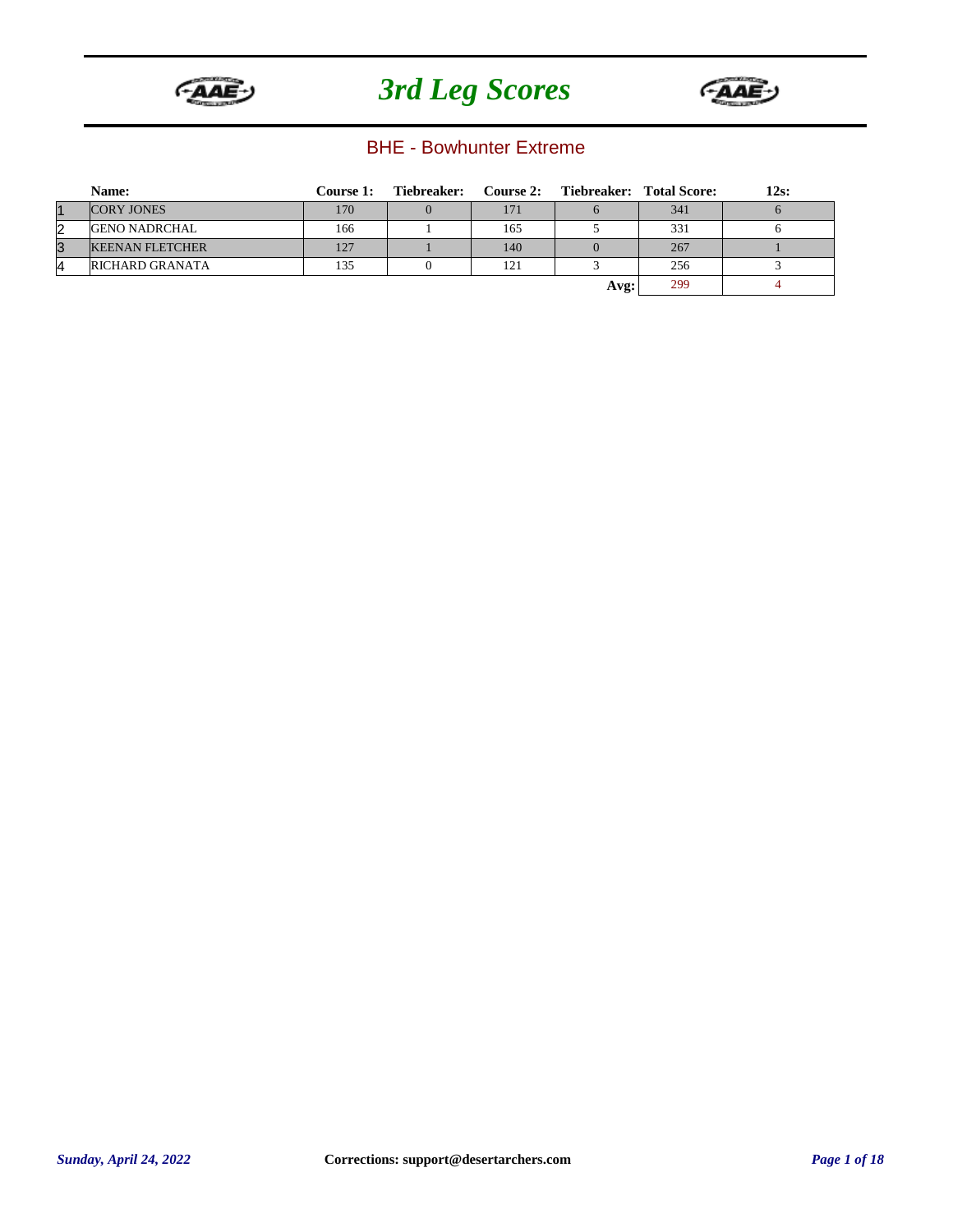



#### BHE - Bowhunter Extreme

|           | Name:                  | Course 1: | Tiebreaker: |     | Course 2: Tiebreaker: Total Score: |     | 12s: |
|-----------|------------------------|-----------|-------------|-----|------------------------------------|-----|------|
| $\vert$ 1 | <b>CORY JONES</b>      | 170       |             | 171 |                                    | 341 |      |
| 2         | <b>GENO NADRCHAL</b>   | 166       |             | 165 |                                    | 331 |      |
| 3         | <b>KEENAN FLETCHER</b> | 127       |             | 140 |                                    | 267 |      |
| 4         | <b>RICHARD GRANATA</b> | 135       |             | 121 |                                    | 256 |      |
|           |                        |           |             |     | Avg:                               | 299 |      |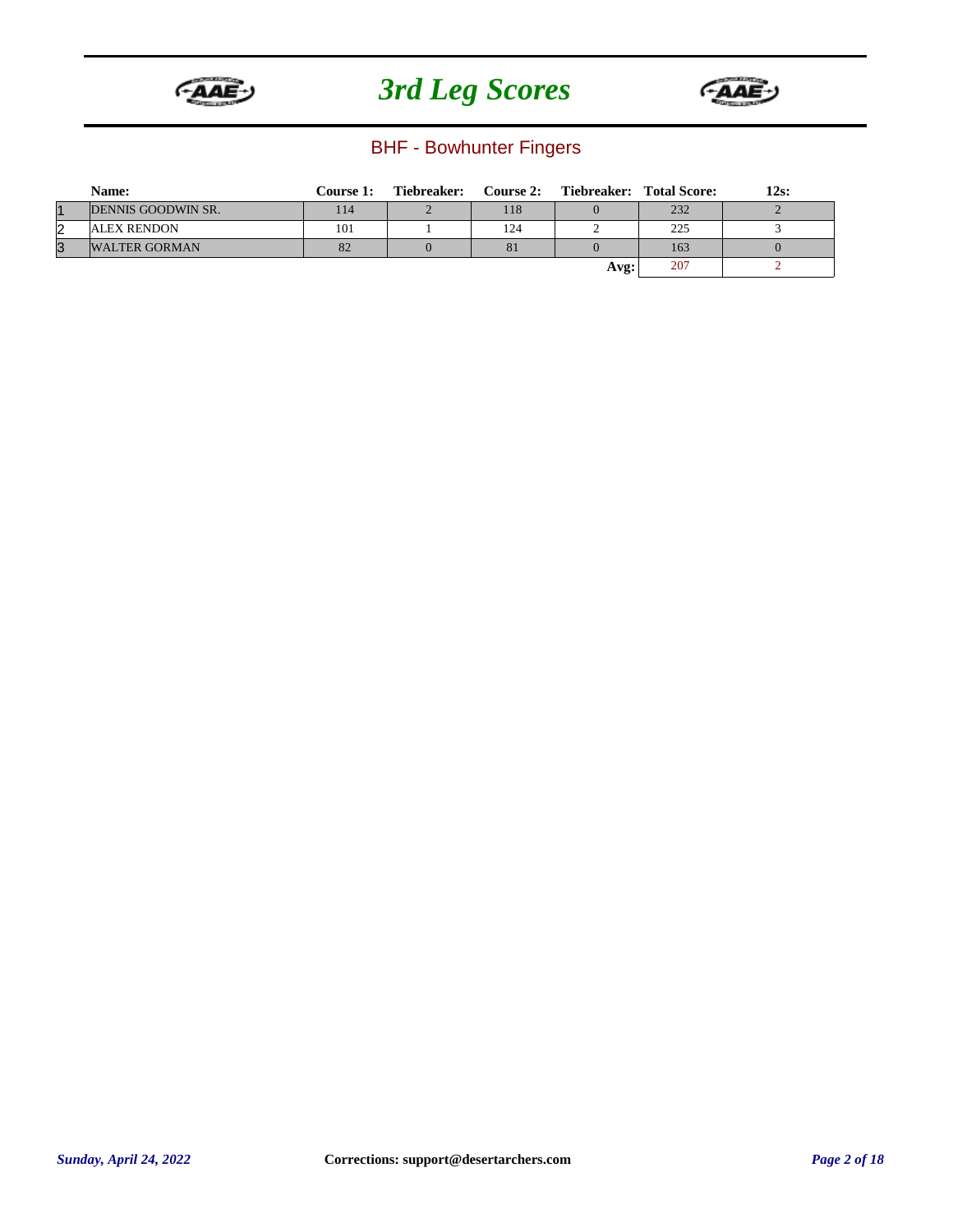



### BHF - Bowhunter Fingers

|    | Name:                | <b>Course 1:</b> | Tiebreaker: |     | Course 2: Tiebreaker: Total Score: |     | 12s: |
|----|----------------------|------------------|-------------|-----|------------------------------------|-----|------|
| 11 | DENNIS GOODWIN SR.   | 14               |             | 118 |                                    | 232 |      |
| 2  | <b>ALEX RENDON</b>   | 101              |             | 124 |                                    | 225 |      |
| 3  | <b>WALTER GORMAN</b> | 82               |             | 81  |                                    | 163 |      |
|    |                      |                  |             |     | Avg:                               | 207 |      |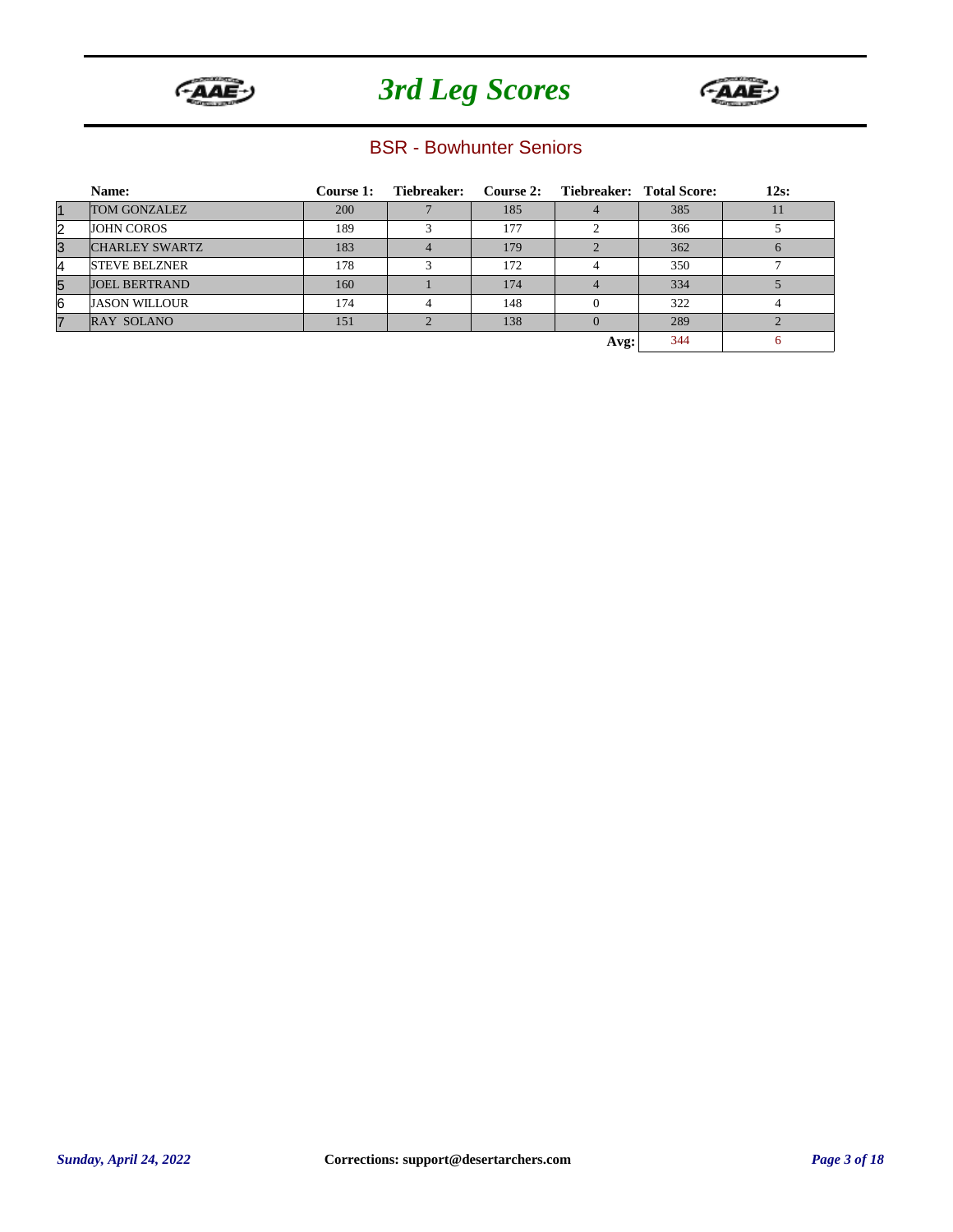



#### BSR - Bowhunter Seniors

|                | Name:                 | <b>Course 1:</b> | Tiebreaker: |     | Course 2: Tiebreaker: Total Score: |     | $12s$ : |
|----------------|-----------------------|------------------|-------------|-----|------------------------------------|-----|---------|
| $\vert$ 1      | <b>TOM GONZALEZ</b>   | <b>200</b>       |             | 185 |                                    | 385 | 11      |
| 2              | <b>JOHN COROS</b>     | 189              |             | 177 |                                    | 366 |         |
| 3              | <b>CHARLEY SWARTZ</b> | 183              |             | 179 |                                    | 362 |         |
| 4              | <b>STEVE BELZNER</b>  | 178              |             | 172 |                                    | 350 |         |
| 5              | <b>JOEL BERTRAND</b>  | 160              |             | 174 |                                    | 334 |         |
| 16             | <b>JASON WILLOUR</b>  | 174              |             | 148 |                                    | 322 |         |
| $\overline{7}$ | <b>RAY SOLANO</b>     | 151              |             | 138 |                                    | 289 |         |
|                |                       |                  |             |     | Avg:                               | 344 | 6       |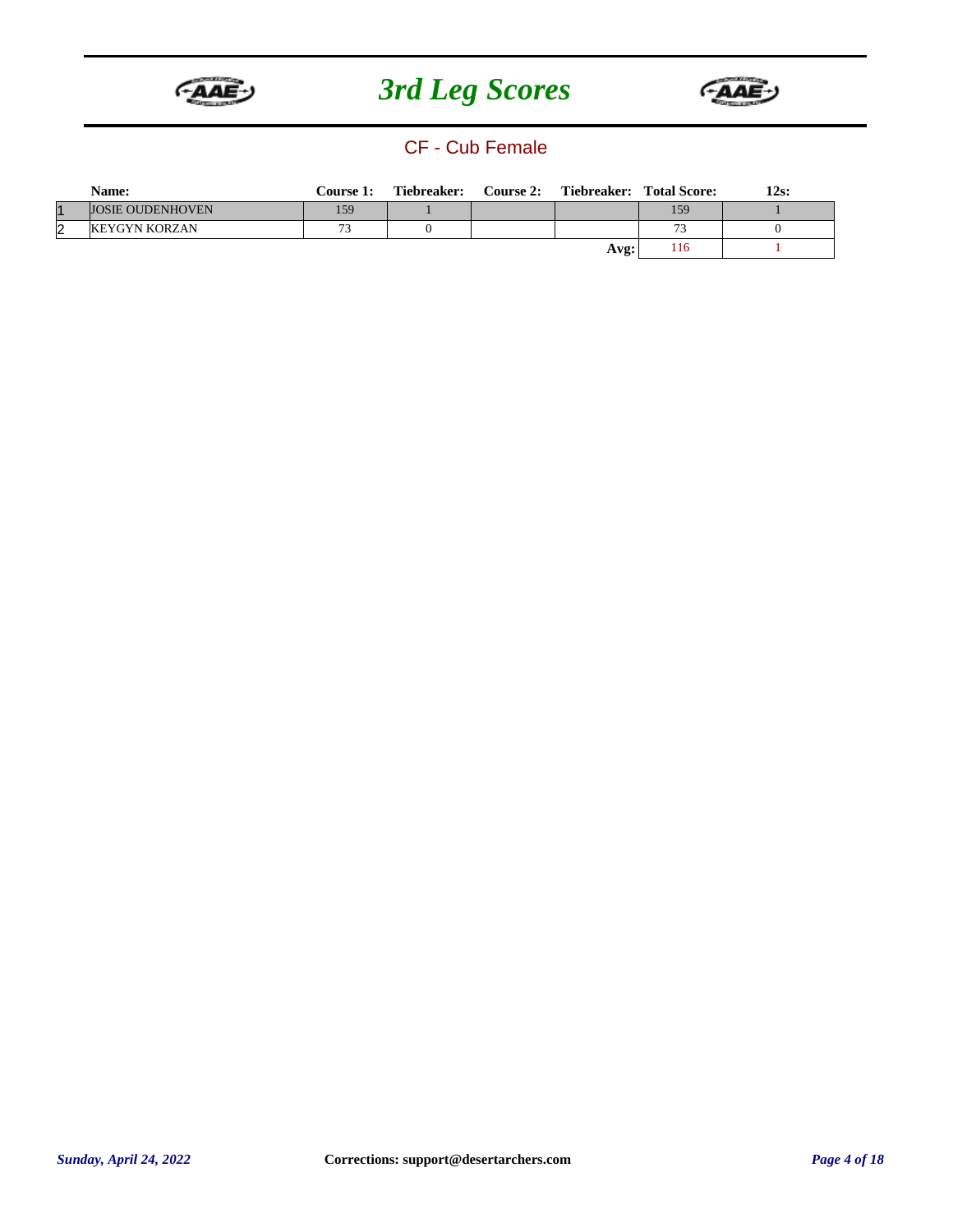



#### CF - Cub Female

|     | Name:                   | <b>Course 1:</b> | Tiebreaker: | Course 2: |      | Tiebreaker: Total Score: | 12s: |
|-----|-------------------------|------------------|-------------|-----------|------|--------------------------|------|
|     | <b>JOSIE OUDENHOVEN</b> | 159              |             |           |      | 159                      |      |
| l'2 | <b>KEYGYN KORZAN</b>    | 73               |             |           |      | 73                       |      |
|     |                         |                  |             |           | Avg: | 116                      |      |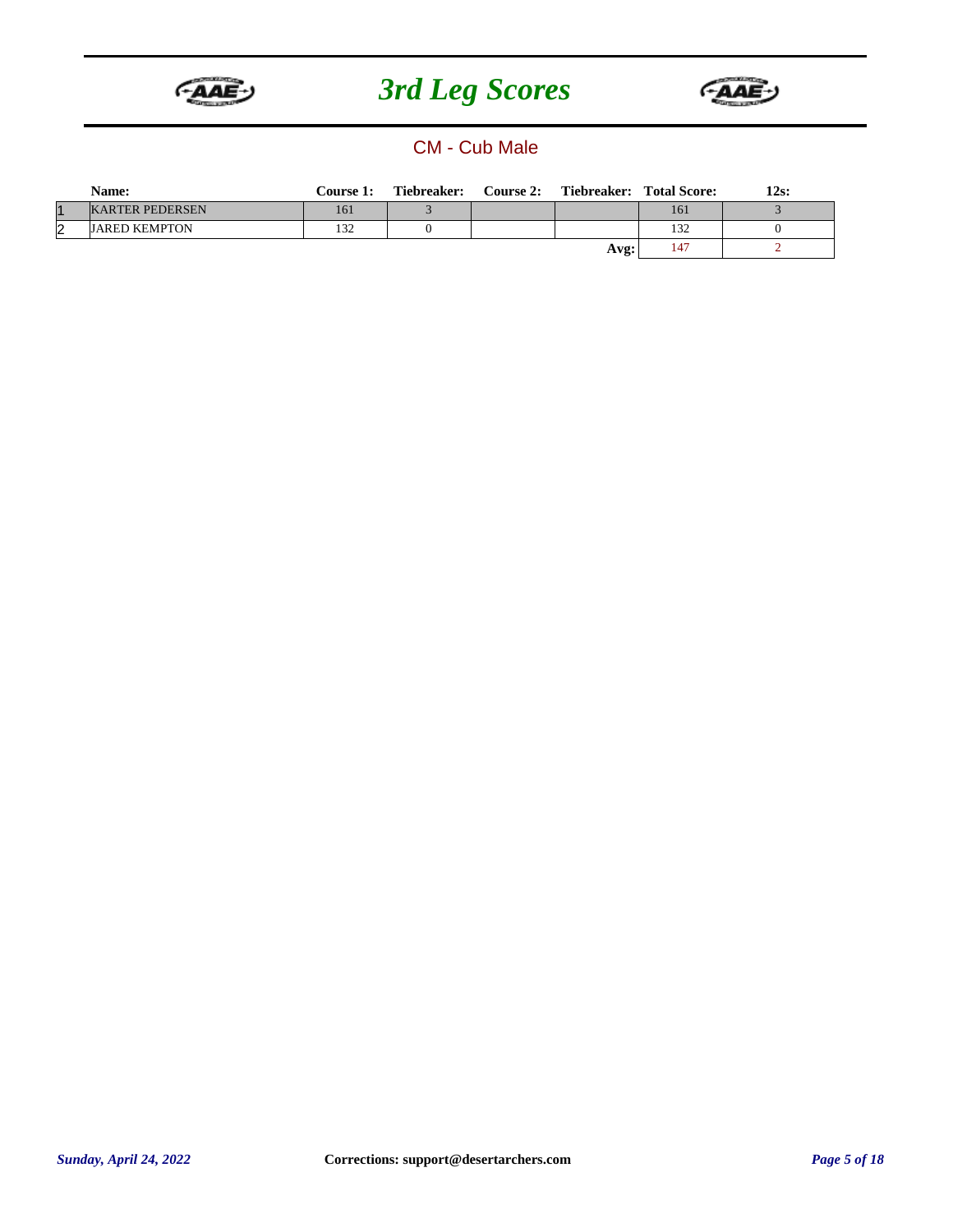



#### CM - Cub Male

|    | Name:                  | <b>Course 1:</b> | Tiebreaker: | Course 2: |      | Tiebreaker: Total Score: | 12s: |
|----|------------------------|------------------|-------------|-----------|------|--------------------------|------|
|    | <b>KARTER PEDERSEN</b> | 161              |             |           |      | 161                      |      |
| 12 | <b>JARED KEMPTON</b>   | 132              |             |           |      | 132                      |      |
|    |                        |                  |             |           | Avg: | 147                      |      |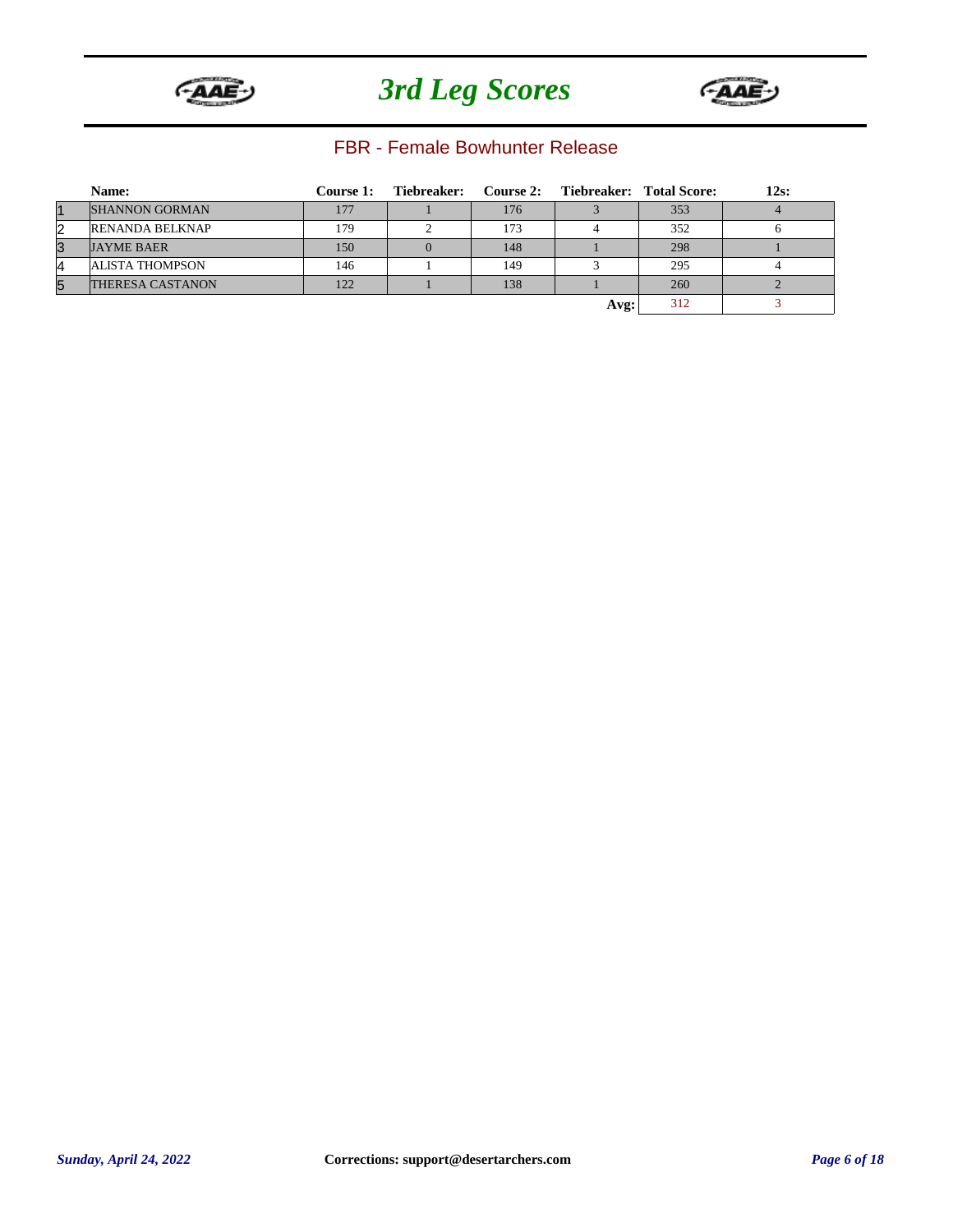



#### FBR - Female Bowhunter Release

|                | Name:                   | Course 1: | Tiebreaker: Course 2: Tiebreaker: Total Score: |     |      |     | 12s: |
|----------------|-------------------------|-----------|------------------------------------------------|-----|------|-----|------|
| $\overline{1}$ | <b>SHANNON GORMAN</b>   | 177       |                                                | 176 |      | 353 |      |
| $\overline{2}$ | <b>RENANDA BELKNAP</b>  | 179       |                                                | 173 |      | 352 |      |
| 3              | <b>JAYME BAER</b>       | 150       |                                                | 148 |      | 298 |      |
| 4              | <b>ALISTA THOMPSON</b>  | 146       |                                                | 149 |      | 295 |      |
| 5              | <b>THERESA CASTANON</b> | 122       |                                                | 138 |      | 260 |      |
|                |                         |           |                                                |     | Avg: | 312 |      |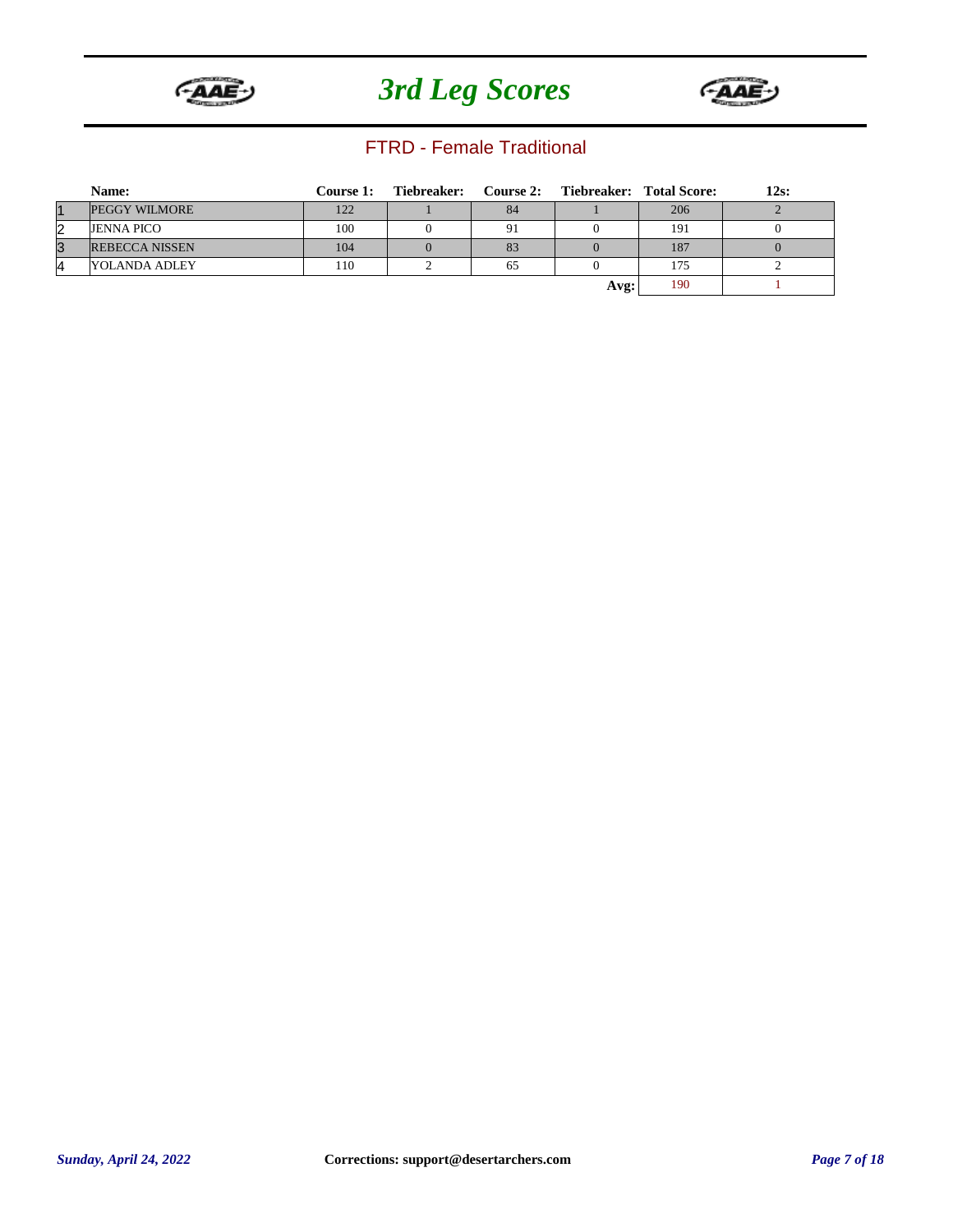



#### FTRD - Female Traditional

|           | Name:                 | Course 1: | Tiebreaker: Course 2: Tiebreaker: Total Score: |    |      |     | 12s: |
|-----------|-----------------------|-----------|------------------------------------------------|----|------|-----|------|
| $\vert$ 1 | <b>PEGGY WILMORE</b>  | 122       |                                                | 84 |      | 206 |      |
| 2         | <b>JENNA PICO</b>     | 100       |                                                | 91 |      | 191 |      |
| 3         | <b>REBECCA NISSEN</b> | 104       |                                                | 83 |      | 187 |      |
| 4         | YOLANDA ADLEY         | 110       |                                                | 65 |      | 175 |      |
|           |                       |           |                                                |    | Avg: | 190 |      |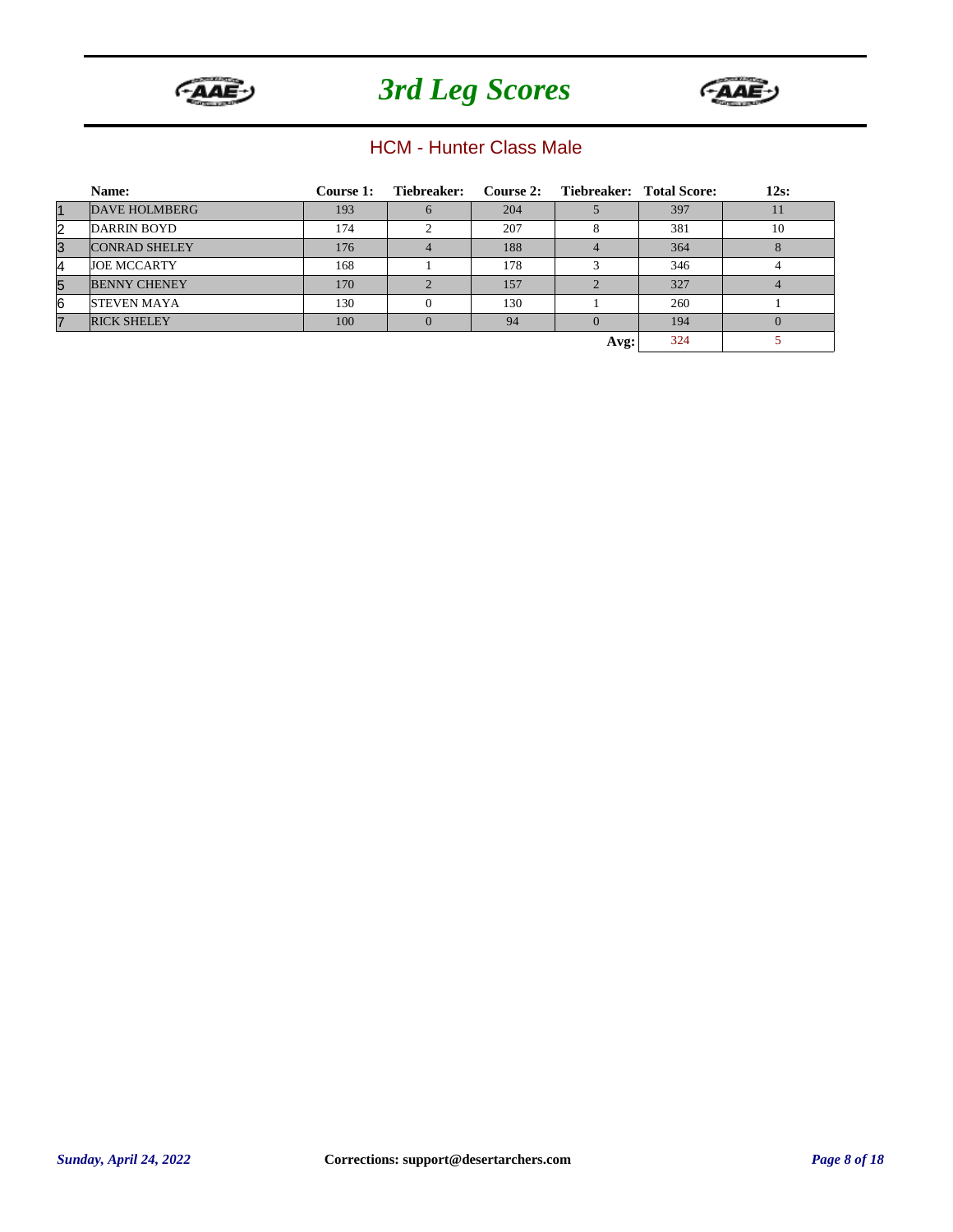



#### HCM - Hunter Class Male

|                | Name:                | <b>Course 1:</b> | Tiebreaker: |     | Course 2: Tiebreaker: Total Score: |     | $12s$ : |
|----------------|----------------------|------------------|-------------|-----|------------------------------------|-----|---------|
| $\vert$ 1      | DAVE HOLMBERG        | 193              |             | 204 |                                    | 397 | 11      |
| 2              | DARRIN BOYD          | 174              |             | 207 | 8                                  | 381 | 10      |
| 3              | <b>CONRAD SHELEY</b> | 176              |             | 188 |                                    | 364 |         |
| 4              | <b>JOE MCCARTY</b>   | 168              |             | 178 | $\mathbf{\mathcal{R}}$             | 346 |         |
| 5              | <b>BENNY CHENEY</b>  | 170              |             | 157 |                                    | 327 |         |
| 16             | <b>STEVEN MAYA</b>   | 130              |             | 130 |                                    | 260 |         |
| $\overline{7}$ | <b>RICK SHELEY</b>   | 100              |             | 94  |                                    | 194 |         |
|                |                      |                  |             |     | Avg:                               | 324 |         |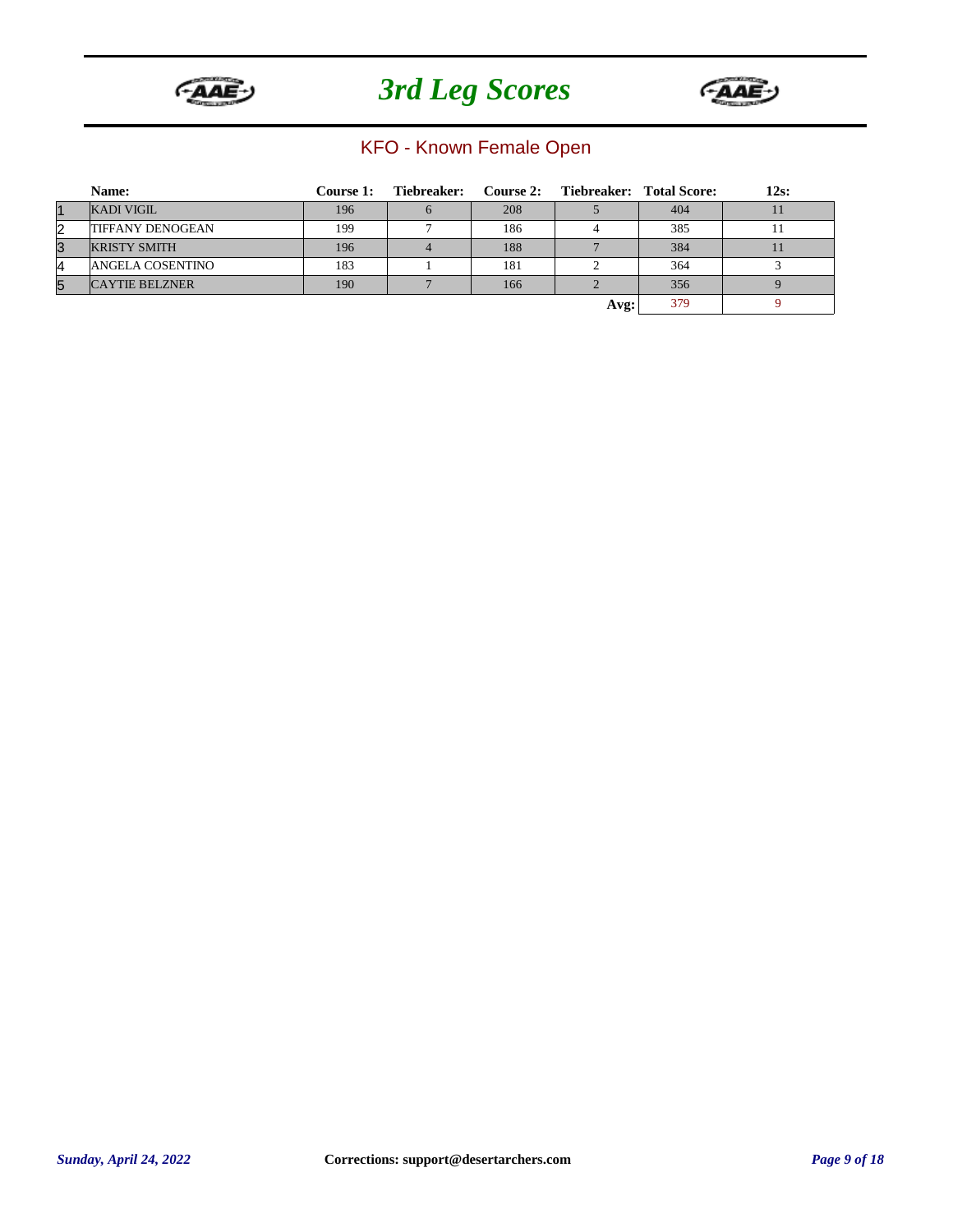



### KFO - Known Female Open

|          | Name:                   | Course 1: | Tiebreaker: Course 2: Tiebreaker: Total Score: |     |      |     | $12s$ : |
|----------|-------------------------|-----------|------------------------------------------------|-----|------|-----|---------|
|          | <b>KADI VIGIL</b>       | 196       |                                                | 208 |      | 404 |         |
| 2        | <b>TIFFANY DENOGEAN</b> | 199       |                                                | 186 |      | 385 |         |
| 3        | <b>KRISTY SMITH</b>     | 196       |                                                | 188 |      | 384 |         |
| $\Delta$ | ANGELA COSENTINO        | 183       |                                                | 181 |      | 364 |         |
| 5        | <b>CAYTIE BELZNER</b>   | 190       |                                                | 166 |      | 356 |         |
|          |                         |           |                                                |     | Avg: | 379 |         |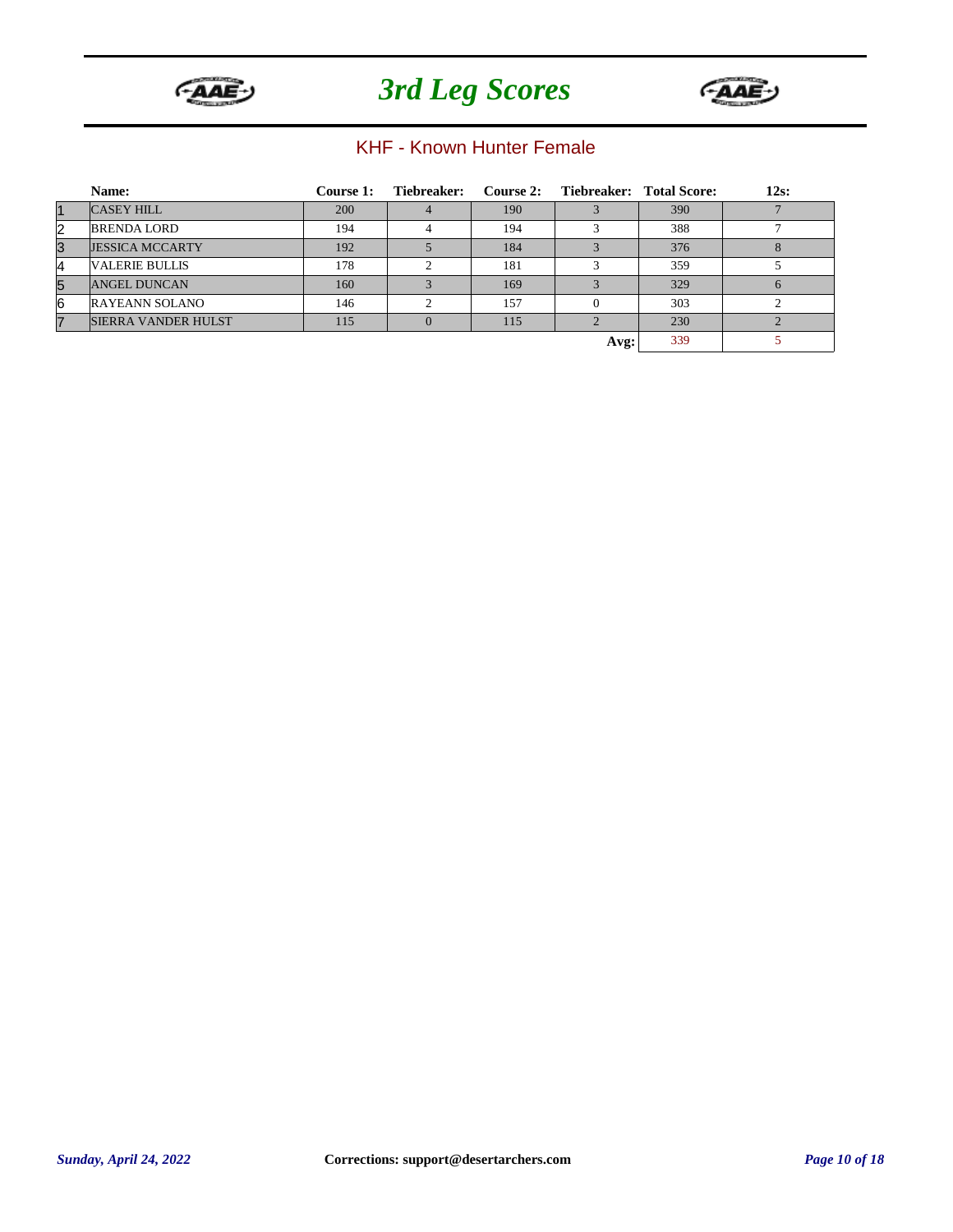



### KHF - Known Hunter Female

|           | Name:                      | <b>Course 1:</b> | Tiebreaker: |     | Course 2: Tiebreaker: Total Score: |     | $12s$ : |
|-----------|----------------------------|------------------|-------------|-----|------------------------------------|-----|---------|
| $\vert$ 1 | <b>CASEY HILL</b>          | 200              |             | 190 |                                    | 390 |         |
| 2         | <b>BRENDA LORD</b>         | 194              |             | 194 |                                    | 388 |         |
| 3         | <b>JESSICA MCCARTY</b>     | 192              |             | 184 |                                    | 376 |         |
| 4         | <b>VALERIE BULLIS</b>      | 178              |             | 181 |                                    | 359 |         |
| 5         | <b>ANGEL DUNCAN</b>        | 160              |             | 169 |                                    | 329 |         |
| 6         | <b>RAYEANN SOLANO</b>      | 146              |             | 157 |                                    | 303 |         |
| 7         | <b>SIERRA VANDER HULST</b> | 115              |             | 115 |                                    | 230 |         |
|           |                            |                  |             |     | Avg:                               | 339 |         |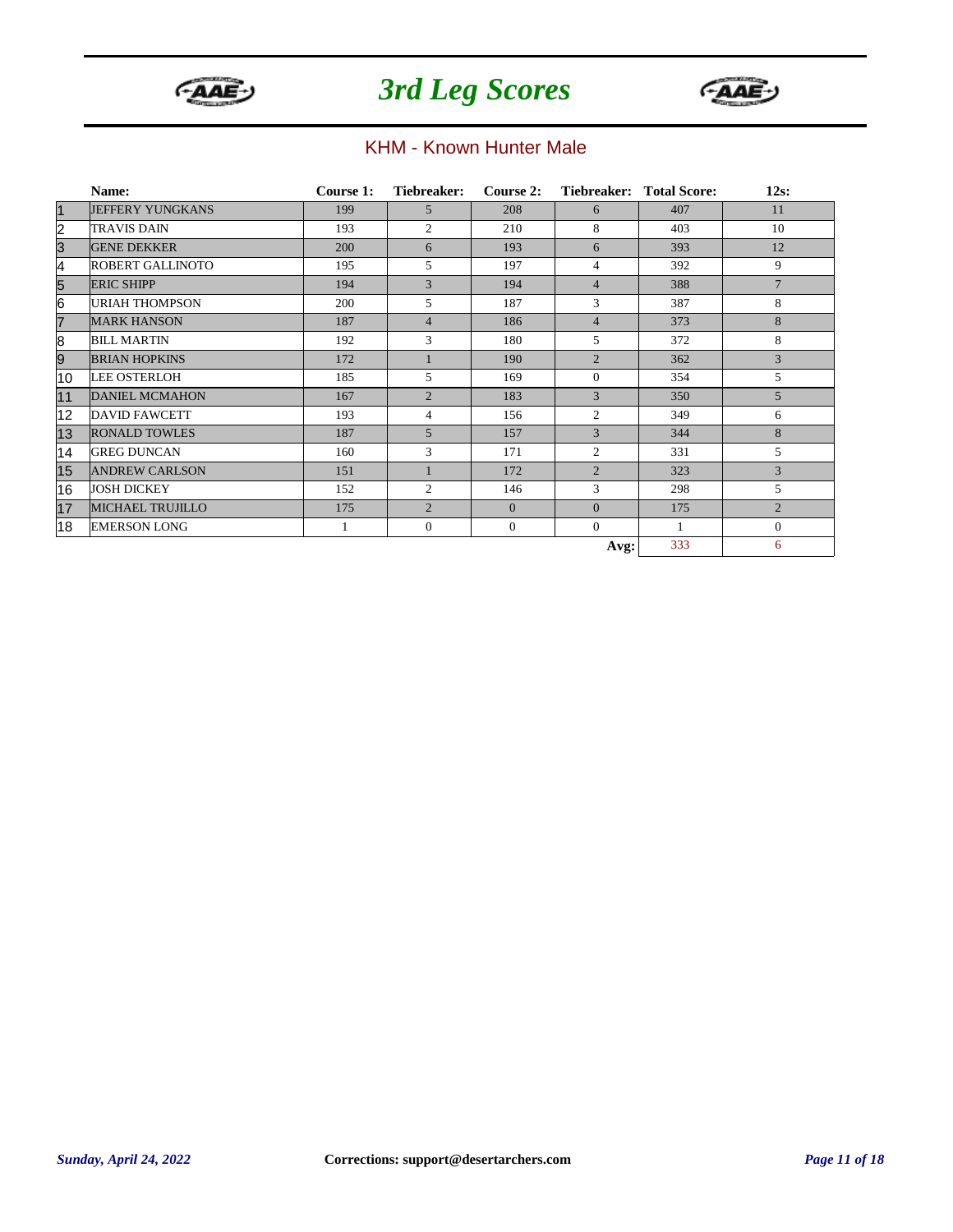



#### KHM - Known Hunter Male

|                         | Name:                   | Course 1: | Tiebreaker:    | Course 2:    |                | Tiebreaker: Total Score: | $12s$ :         |
|-------------------------|-------------------------|-----------|----------------|--------------|----------------|--------------------------|-----------------|
| $\vert$ 1               | <b>JEFFERY YUNGKANS</b> | 199       | 5              | 208          | 6              | 407                      | 11              |
| $\overline{\mathbf{c}}$ | <b>TRAVIS DAIN</b>      | 193       | $\overline{c}$ | 210          | 8              | 403                      | 10              |
| 3                       | <b>GENE DEKKER</b>      | 200       | 6              | 193          | 6              | 393                      | 12              |
| 4                       | <b>ROBERT GALLINOTO</b> | 195       | 5              | 197          | $\overline{4}$ | 392                      | 9               |
| 5                       | <b>ERIC SHIPP</b>       | 194       | 3              | 194          | $\overline{4}$ | 388                      | $7\phantom{.0}$ |
| 6                       | URIAH THOMPSON          | 200       | 5              | 187          | 3              | 387                      | 8               |
| $\overline{7}$          | <b>MARK HANSON</b>      | 187       | $\overline{4}$ | 186          | $\overline{4}$ | 373                      | 8               |
| 8                       | <b>BILL MARTIN</b>      | 192       | 3              | 180          | 5              | 372                      | 8               |
| 9                       | <b>BRIAN HOPKINS</b>    | 172       |                | 190          | $\overline{2}$ | 362                      | 3               |
| 10                      | <b>LEE OSTERLOH</b>     | 185       | 5              | 169          | $\theta$       | 354                      | 5               |
| 11                      | <b>DANIEL MCMAHON</b>   | 167       | $\overline{2}$ | 183          | 3              | 350                      | 5               |
| 12                      | <b>DAVID FAWCETT</b>    | 193       | 4              | 156          | 2              | 349                      | 6               |
| 13                      | <b>RONALD TOWLES</b>    | 187       | 5              | 157          | 3              | 344                      | 8               |
| 14                      | <b>GREG DUNCAN</b>      | 160       | 3              | 171          | $\overline{2}$ | 331                      | 5               |
| 15                      | <b>ANDREW CARLSON</b>   | 151       |                | 172          | $\overline{2}$ | 323                      | 3               |
| 16                      | <b>JOSH DICKEY</b>      | 152       | $\overline{c}$ | 146          | 3              | 298                      | 5               |
| 17                      | <b>MICHAEL TRUJILLO</b> | 175       | $\overline{2}$ | $\Omega$     | $\Omega$       | 175                      | $\overline{2}$  |
| 18                      | <b>EMERSON LONG</b>     |           | $\mathbf{0}$   | $\mathbf{0}$ | $\overline{0}$ | 1                        | $\Omega$        |
|                         |                         |           |                |              | Avg:           | 333                      | 6               |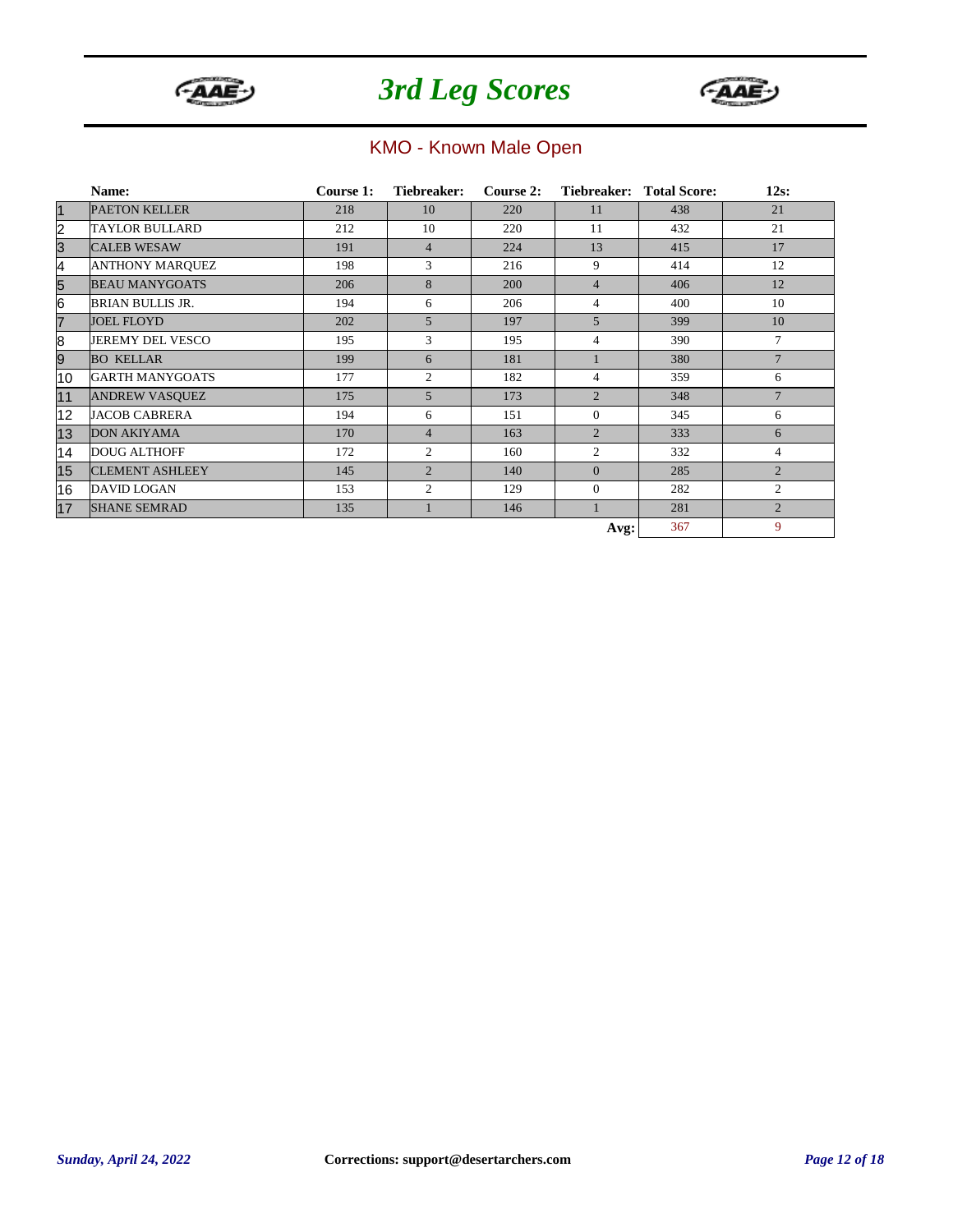



### KMO - Known Male Open

|                | Name:                   | Course 1: | Tiebreaker:    | Course 2: |                | Tiebreaker: Total Score: | $12s$ :        |
|----------------|-------------------------|-----------|----------------|-----------|----------------|--------------------------|----------------|
| $\vert$ 1      | <b>PAETON KELLER</b>    | 218       | 10             | 220       | 11             | 438                      | 21             |
| $\overline{2}$ | <b>TAYLOR BULLARD</b>   | 212       | 10             | 220       | 11             | 432                      | 21             |
| $\overline{3}$ | <b>CALEB WESAW</b>      | 191       | $\overline{4}$ | 224       | 13             | 415                      | 17             |
| 4              | <b>ANTHONY MARQUEZ</b>  | 198       | 3              | 216       | 9              | 414                      | 12             |
| $\overline{5}$ | <b>BEAU MANYGOATS</b>   | 206       | 8              | 200       | $\overline{4}$ | 406                      | 12             |
| 6              | <b>BRIAN BULLIS JR.</b> | 194       | 6              | 206       | $\overline{4}$ | 400                      | 10             |
| $\overline{7}$ | <b>JOEL FLOYD</b>       | 202       | $\overline{5}$ | 197       | 5              | 399                      | 10             |
| 8              | JEREMY DEL VESCO        | 195       | $\overline{3}$ | 195       | 4              | 390                      | $\overline{7}$ |
| 9              | <b>BO KELLAR</b>        | 199       | 6              | 181       |                | 380                      | $\overline{7}$ |
| 10             | <b>GARTH MANYGOATS</b>  | 177       | $\overline{2}$ | 182       | 4              | 359                      | 6              |
| 11             | <b>ANDREW VASQUEZ</b>   | 175       | 5              | 173       | $\overline{2}$ | 348                      | $\overline{7}$ |
| 12             | <b>JACOB CABRERA</b>    | 194       | 6              | 151       | $\overline{0}$ | 345                      | 6              |
| 13             | <b>DON AKIYAMA</b>      | 170       | $\overline{4}$ | 163       | $\overline{2}$ | 333                      | 6              |
| 14             | <b>DOUG ALTHOFF</b>     | 172       | $\overline{2}$ | 160       | $\overline{2}$ | 332                      | $\overline{4}$ |
| 15             | <b>CLEMENT ASHLEEY</b>  | 145       | $\overline{2}$ | 140       | $\Omega$       | 285                      | $\overline{2}$ |
| 16             | <b>DAVID LOGAN</b>      | 153       | $\overline{c}$ | 129       | $\overline{0}$ | 282                      | $\overline{2}$ |
| 17             | <b>SHANE SEMRAD</b>     | 135       |                | 146       |                | 281                      | $\overline{2}$ |
|                |                         |           |                |           | Avg:           | 367                      | 9              |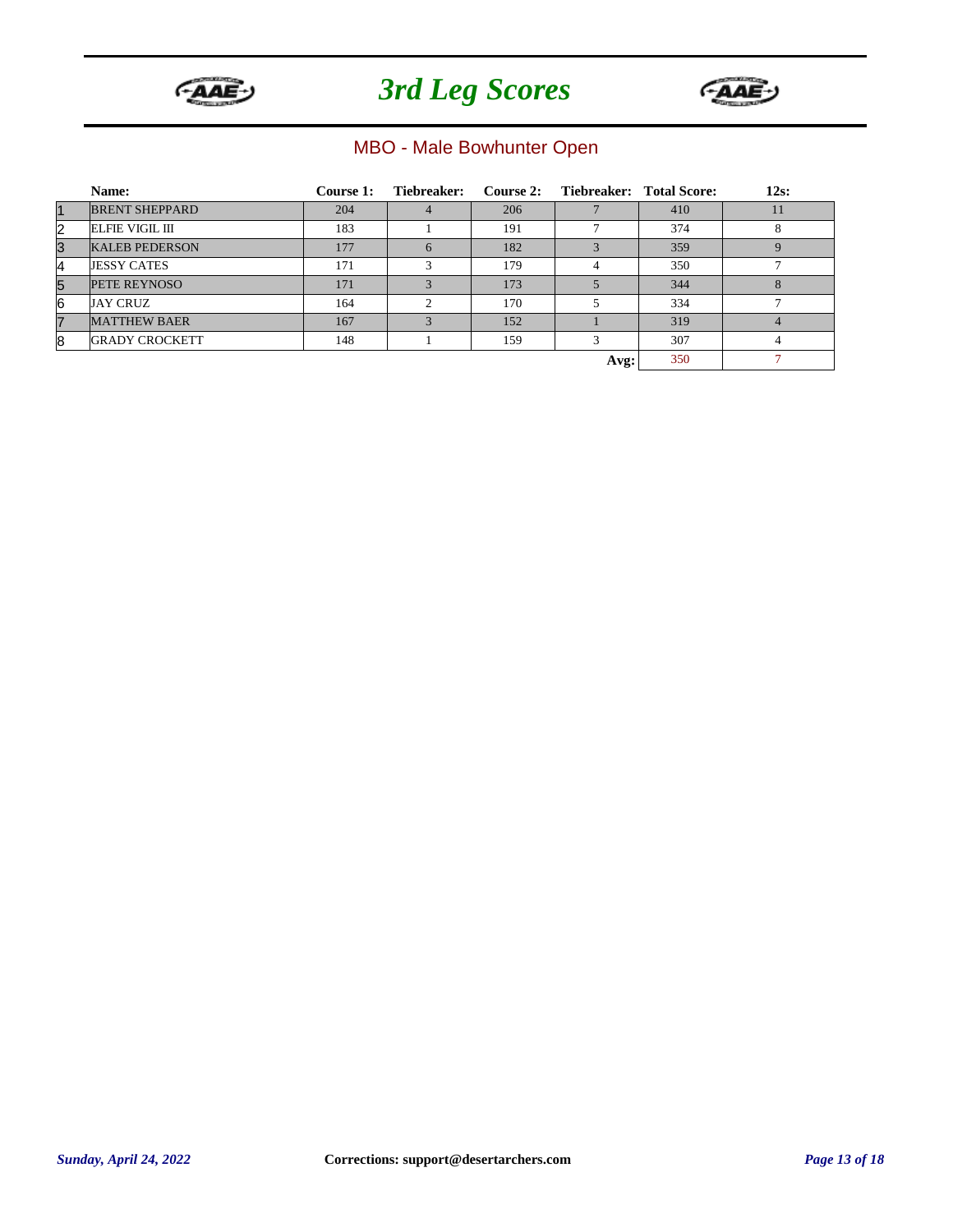



### MBO - Male Bowhunter Open

|           | Name:                  | <b>Course 1:</b> | Tiebreaker:   |     | Course 2: Tiebreaker: Total Score: |     | $12s$ : |
|-----------|------------------------|------------------|---------------|-----|------------------------------------|-----|---------|
| $\vert$ 1 | <b>BRENT SHEPPARD</b>  | 204              |               | 206 |                                    | 410 | 11      |
| 2         | <b>ELFIE VIGIL III</b> | 183              |               | 191 |                                    | 374 | 8       |
| 3         | <b>KALEB PEDERSON</b>  | 177              | 6             | 182 |                                    | 359 |         |
| 4         | <b>JESSY CATES</b>     | 171              | 3             | 179 |                                    | 350 |         |
| 5         | PETE REYNOSO           | 171              | $\mathcal{R}$ | 173 |                                    | 344 | 8       |
| 6         | <b>JAY CRUZ</b>        | 164              | $\sim$        | 170 |                                    | 334 |         |
| 7         | <b>MATTHEW BAER</b>    | 167              | $\mathcal{R}$ | 152 |                                    | 319 |         |
| 8         | <b>GRADY CROCKETT</b>  | 148              |               | 159 | 3                                  | 307 | 4       |
|           |                        |                  |               |     | Avg:                               | 350 |         |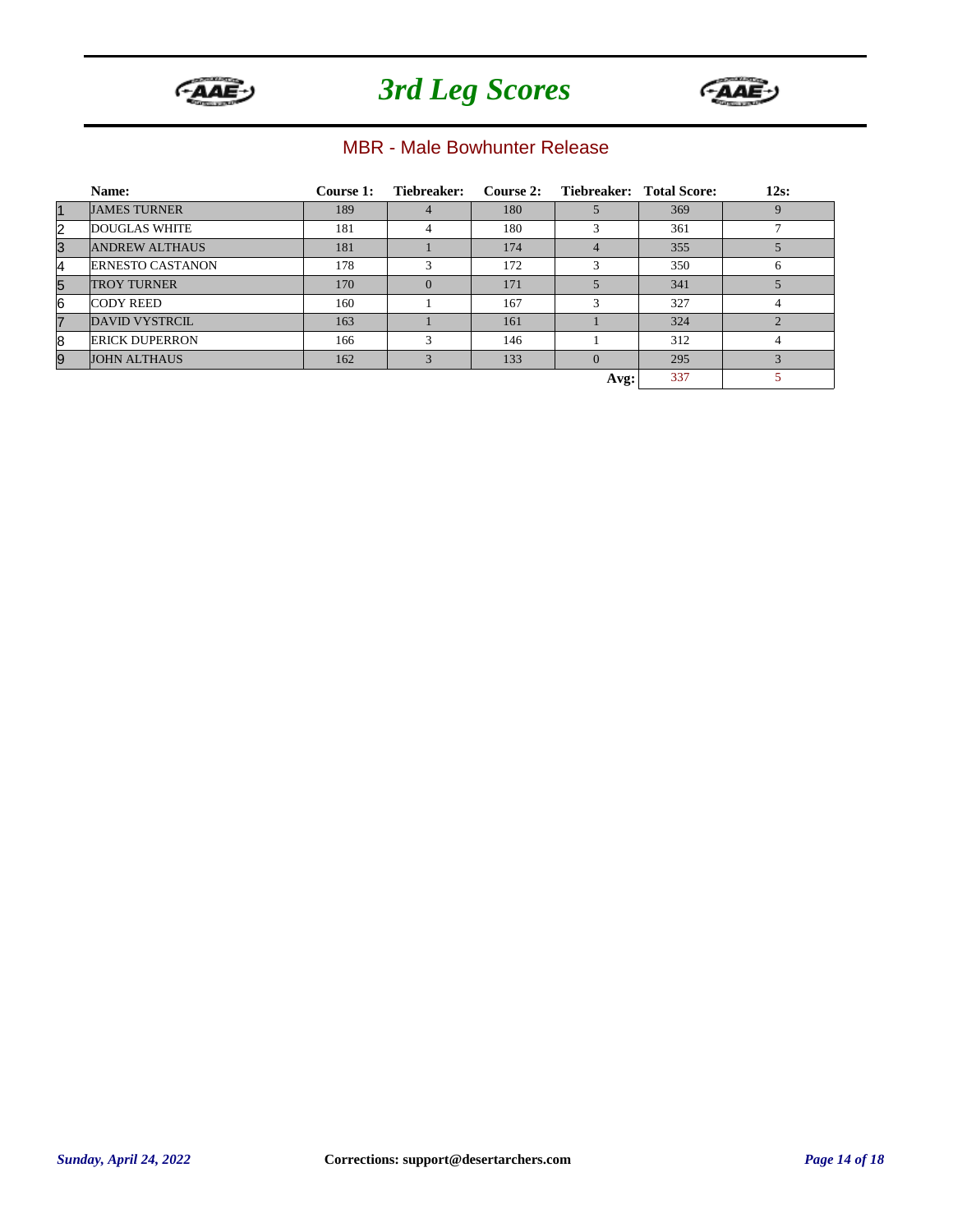



#### MBR - Male Bowhunter Release

|                | Name:                   | Course 1: | Tiebreaker: | Course 2: |          | Tiebreaker: Total Score: | $12s$ : |
|----------------|-------------------------|-----------|-------------|-----------|----------|--------------------------|---------|
| $\vert$ 1      | <b>JAMES TURNER</b>     | 189       |             | 180       |          | 369                      |         |
| 2              | <b>DOUGLAS WHITE</b>    | 181       | 4           | 180       |          | 361                      |         |
| 3              | <b>ANDREW ALTHAUS</b>   | 181       |             | 174       |          | 355                      |         |
| 4              | <b>ERNESTO CASTANON</b> | 178       | 3           | 172       | 3        | 350                      | 6       |
| 5              | <b>TROY TURNER</b>      | 170       |             | 171       |          | 341                      |         |
| 6              | <b>CODY REED</b>        | 160       |             | 167       | 3        | 327                      |         |
| $\overline{7}$ | DAVID VYSTRCIL          | 163       |             | 161       |          | 324                      |         |
| 8              | <b>ERICK DUPERRON</b>   | 166       | 3           | 146       |          | 312                      | 4       |
| 9              | <b>JOHN ALTHAUS</b>     | 162       | 3           | 133       | $\Omega$ | 295                      |         |
|                |                         |           |             |           | Avg:     | 337                      |         |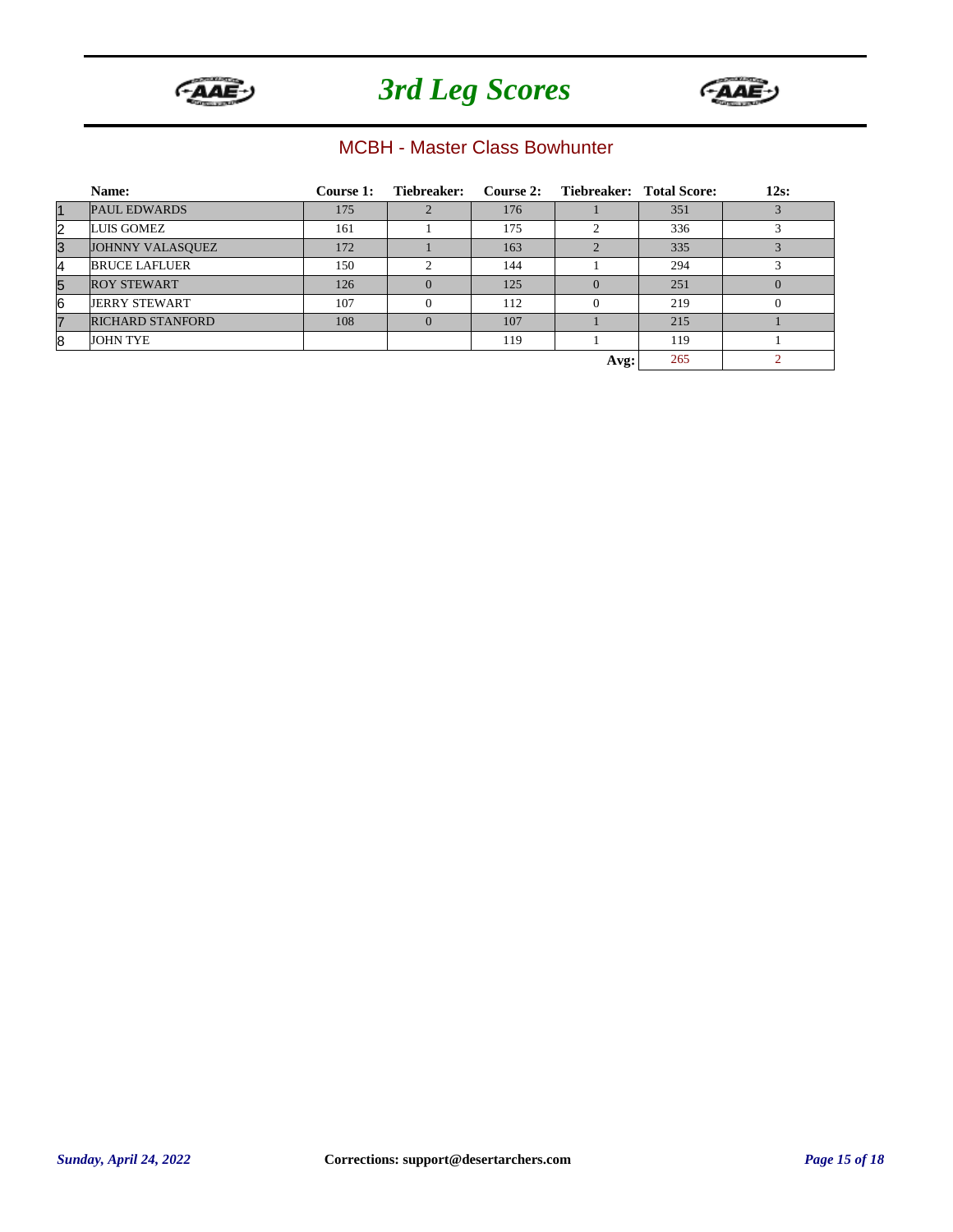



#### MCBH - Master Class Bowhunter

|             | Name:                   | Course 1: | Tiebreaker:   |     | Course 2: Tiebreaker: Total Score: |     | $12s$ : |
|-------------|-------------------------|-----------|---------------|-----|------------------------------------|-----|---------|
| $\mathbf 1$ | <b>PAUL EDWARDS</b>     | 175       |               | 176 |                                    | 351 |         |
| 2           | LUIS GOMEZ              | 161       |               | 175 | $\sim$                             | 336 |         |
| 3           | JOHNNY VALASQUEZ        | 172       |               | 163 |                                    | 335 |         |
| 4           | <b>BRUCE LAFLUER</b>    | 150       | $\mathcal{L}$ | 144 |                                    | 294 |         |
| 5           | <b>ROY STEWART</b>      | 126       | $\Omega$      | 125 |                                    | 251 |         |
| 6           | <b>JERRY STEWART</b>    | 107       |               | 112 |                                    | 219 |         |
|             | <b>RICHARD STANFORD</b> | 108       | $\Omega$      | 107 |                                    | 215 |         |
| 8           | <b>JOHN TYE</b>         |           |               | 119 |                                    | 119 |         |
|             |                         |           |               |     | Avg:                               | 265 |         |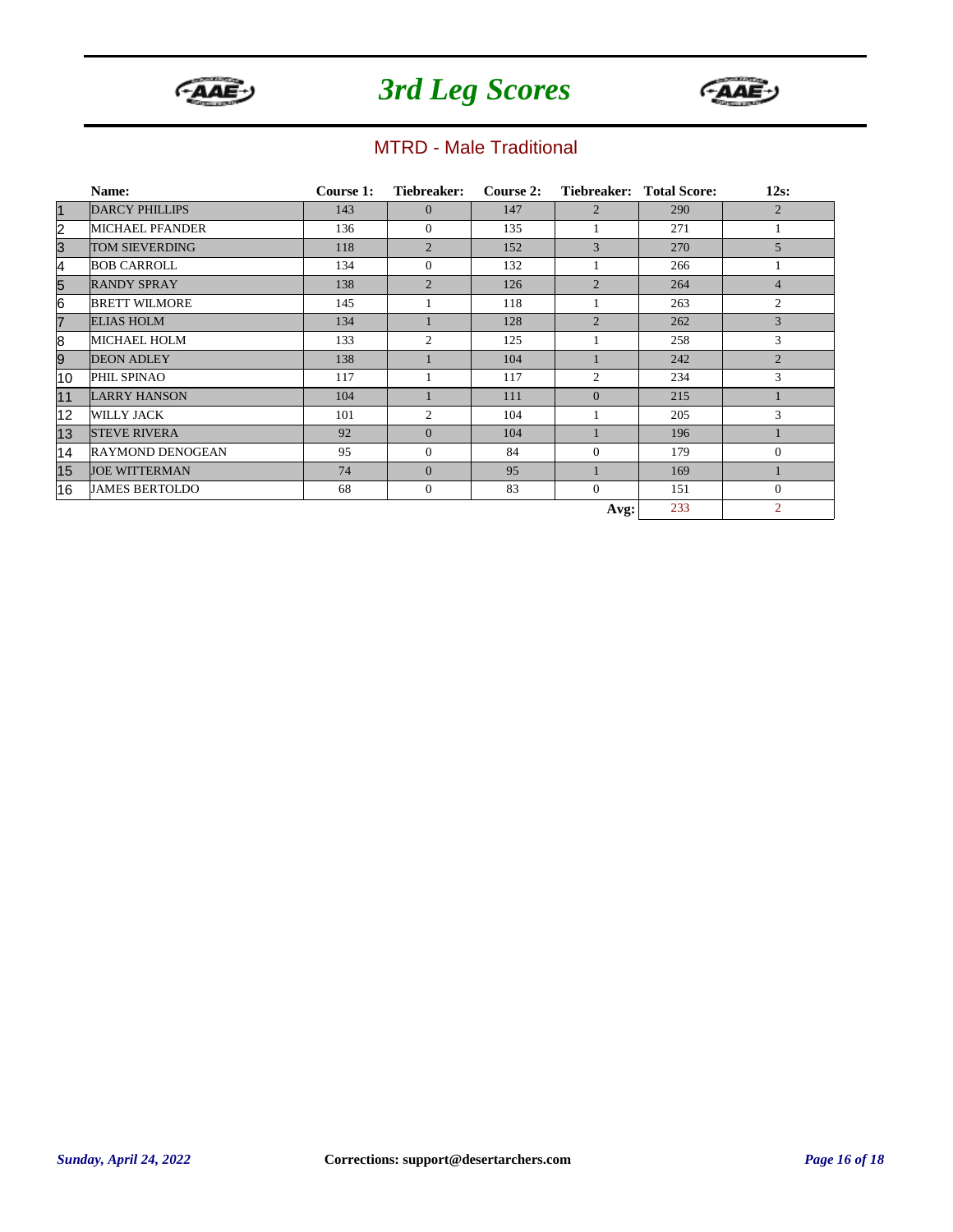



#### MTRD - Male Traditional

|                         | Name:                   | Course 1: | Tiebreaker:    | Course 2: |                | Tiebreaker: Total Score: | $12s$ :        |
|-------------------------|-------------------------|-----------|----------------|-----------|----------------|--------------------------|----------------|
| $\vert$ 1               | <b>DARCY PHILLIPS</b>   | 143       | $\Omega$       | 147       | $\overline{2}$ | 290                      | $\overline{2}$ |
| $\overline{\mathbf{c}}$ | <b>MICHAEL PFANDER</b>  | 136       | $\Omega$       | 135       |                | 271                      |                |
| 3                       | <b>TOM SIEVERDING</b>   | 118       | $\overline{2}$ | 152       | 3              | 270                      | 5              |
| 4                       | <b>BOB CARROLL</b>      | 134       | $\mathbf{0}$   | 132       |                | 266                      |                |
| 5                       | <b>RANDY SPRAY</b>      | 138       | $\overline{c}$ | 126       | $\overline{2}$ | 264                      | $\overline{4}$ |
| 6                       | <b>BRETT WILMORE</b>    | 145       |                | 118       |                | 263                      | $\overline{2}$ |
| $\overline{7}$          | <b>ELIAS HOLM</b>       | 134       |                | 128       | $\overline{2}$ | 262                      | 3              |
| 8                       | <b>MICHAEL HOLM</b>     | 133       | $\overline{c}$ | 125       |                | 258                      | 3              |
| 9                       | <b>DEON ADLEY</b>       | 138       |                | 104       |                | 242                      | $\overline{2}$ |
| 10                      | PHIL SPINAO             | 117       |                | 117       | $\overline{2}$ | 234                      | 3              |
| 11                      | <b>LARRY HANSON</b>     | 104       |                | 111       | $\mathbf{0}$   | 215                      |                |
| 12                      | <b>WILLY JACK</b>       | 101       | $\overline{c}$ | 104       |                | 205                      | 3              |
| 13                      | <b>STEVE RIVERA</b>     | 92        | $\overline{0}$ | 104       |                | 196                      | п              |
| 14                      | <b>RAYMOND DENOGEAN</b> | 95        | $\Omega$       | 84        | $\Omega$       | 179                      | $\Omega$       |
| 15                      | <b>JOE WITTERMAN</b>    | 74        | $\Omega$       | 95        |                | 169                      |                |
| 16                      | <b>JAMES BERTOLDO</b>   | 68        | $\mathbf{0}$   | 83        | $\overline{0}$ | 151                      | $\mathbf{0}$   |
|                         |                         |           |                |           | Avg:           | 233                      | $\overline{2}$ |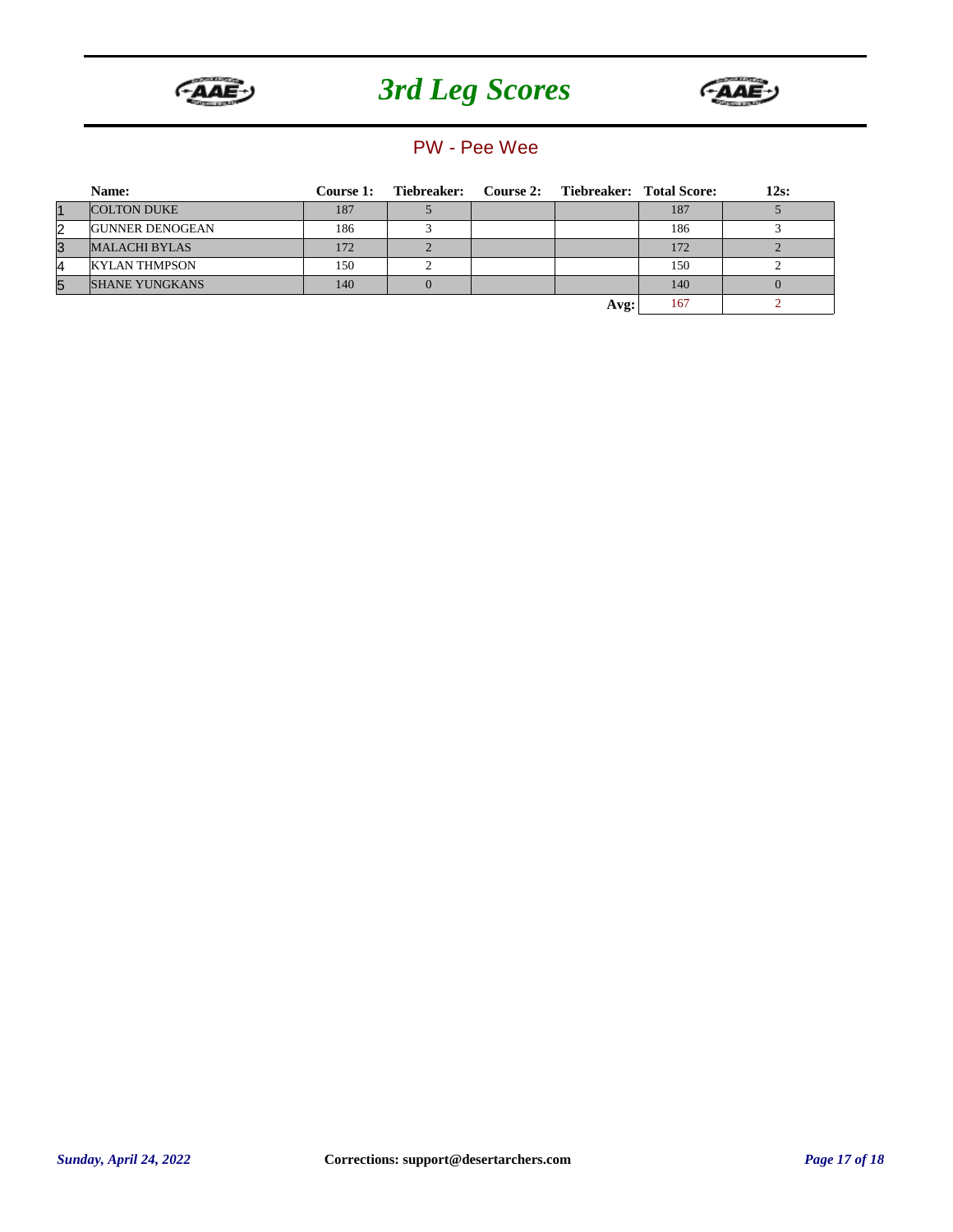



#### PW - Pee Wee

|                | Name:                  | <b>Course 1:</b> | Tiebreaker: Course 2: Tiebreaker: Total Score: |      |     | $12s$ : |
|----------------|------------------------|------------------|------------------------------------------------|------|-----|---------|
| $\overline{1}$ | <b>COLTON DUKE</b>     | 187              |                                                |      | 187 |         |
| $\overline{2}$ | <b>GUNNER DENOGEAN</b> | 186              |                                                |      | 186 |         |
| 3              | <b>MALACHI BYLAS</b>   | 172              |                                                |      | 172 |         |
| 4              | <b>KYLAN THMPSON</b>   | 150              |                                                |      | 150 |         |
| 5              | <b>SHANE YUNGKANS</b>  | 140              |                                                |      | 140 |         |
|                |                        |                  |                                                | Avg: | 167 |         |